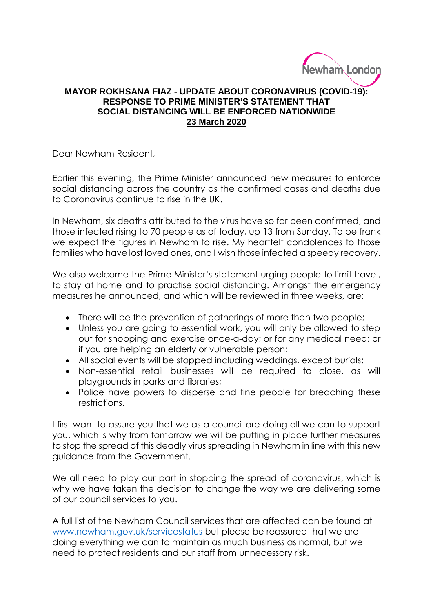

## **MAYOR ROKHSANA FIAZ - UPDATE ABOUT CORONAVIRUS (COVID-19): RESPONSE TO PRIME MINISTER'S STATEMENT THAT SOCIAL DISTANCING WILL BE ENFORCED NATIONWIDE 23 March 2020**

Dear Newham Resident,

Earlier this evening, the Prime Minister announced new measures to enforce social distancing across the country as the confirmed cases and deaths due to Coronavirus continue to rise in the UK.

In Newham, six deaths attributed to the virus have so far been confirmed, and those infected rising to 70 people as of today, up 13 from Sunday. To be frank we expect the figures in Newham to rise. My heartfelt condolences to those families who have lost loved ones, and I wish those infected a speedy recovery.

We also welcome the Prime Minister's statement urging people to limit travel, to stay at home and to practise social distancing. Amongst the emergency measures he announced, and which will be reviewed in three weeks, are:

- There will be the prevention of gatherings of more than two people;
- Unless you are going to essential work, you will only be allowed to step out for shopping and exercise once-a-day; or for any medical need; or if you are helping an elderly or vulnerable person;
- All social events will be stopped including weddings, except burials;
- Non-essential retail businesses will be required to close, as will playgrounds in parks and libraries;
- Police have powers to disperse and fine people for breaching these restrictions.

I first want to assure you that we as a council are doing all we can to support you, which is why from tomorrow we will be putting in place further measures to stop the spread of this deadly virus spreading in Newham in line with this new guidance from the Government.

We all need to play our part in stopping the spread of coronavirus, which is why we have taken the decision to change the way we are delivering some of our council services to you.

A full list of the Newham Council services that are affected can be found at [www.newham.gov.uk/servicestatus](http://www.newham.gov.uk/servicestatus) but please be reassured that we are doing everything we can to maintain as much business as normal, but we need to protect residents and our staff from unnecessary risk.